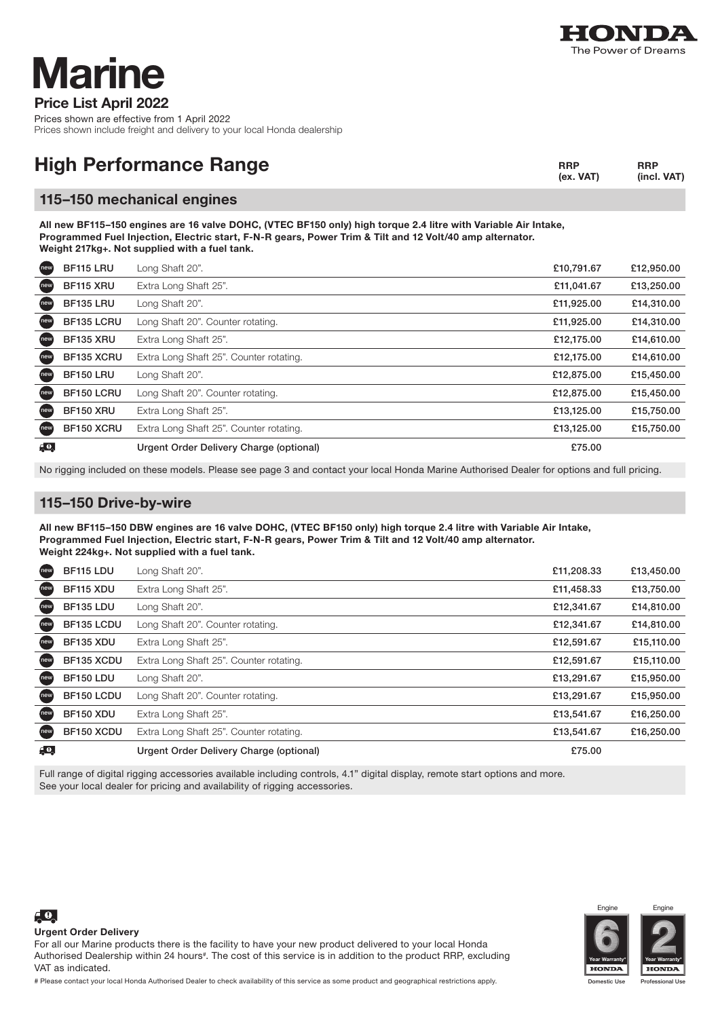

# larine

Price List April 2022

Prices shown are effective from 1 April 2022 Prices shown include freight and delivery to your local Honda dealership

| <b>High Performance Range</b> | <b>RRP</b><br>(ex. VAT) | <b>RRP</b><br>(incl. VAT) |
|-------------------------------|-------------------------|---------------------------|
|                               |                         |                           |

#### 115–150 mechanical engines

All new BF115–150 engines are 16 valve DOHC, (VTEC BF150 only) high torque 2.4 litre with Variable Air Intake, Programmed Fuel Injection, Electric start, F-N-R gears, Power Trim & Tilt and 12 Volt/40 amp alternator. Weight 217kg+. Not supplied with a fuel tank.

| new         | BF115 LRU        | Long Shaft 20".                         | £10,791.67 | £12,950.00 |
|-------------|------------------|-----------------------------------------|------------|------------|
| new         | BF115 XRU        | Extra Long Shaft 25".                   | £11,041.67 | £13,250.00 |
| new         | BF135 LRU        | Long Shaft 20".                         | £11,925.00 | £14,310.00 |
| new         | BF135 LCRU       | Long Shaft 20". Counter rotating.       | £11,925.00 | £14,310.00 |
| new         | BF135 XRU        | Extra Long Shaft 25".                   | £12,175.00 | £14,610.00 |
| new         | BF135 XCRU       | Extra Long Shaft 25". Counter rotating. | £12,175.00 | £14,610.00 |
| new         | <b>BF150 LRU</b> | Long Shaft 20".                         | £12,875.00 | £15,450.00 |
| new         | BF150 LCRU       | Long Shaft 20". Counter rotating.       | £12,875.00 | £15,450.00 |
| new         | <b>BF150 XRU</b> | Extra Long Shaft 25".                   | £13,125.00 | £15,750.00 |
| new         | BF150 XCRU       | Extra Long Shaft 25". Counter rotating. | £13,125.00 | £15,750.00 |
| $E_{\rm e}$ |                  | Urgent Order Delivery Charge (optional) | £75.00     |            |

No rigging included on these models. Please see page 3 and contact your local Honda Marine Authorised Dealer for options and full pricing.

### 115–150 Drive-by-wire

All new BF115–150 DBW engines are 16 valve DOHC, (VTEC BF150 only) high torque 2.4 litre with Variable Air Intake, Programmed Fuel Injection, Electric start, F-N-R gears, Power Trim & Tilt and 12 Volt/40 amp alternator. Weight 224kg+. Not supplied with a fuel tank.

| new | BF115 LDU        | Long Shaft 20".                         | £11,208.33 | £13,450.00 |
|-----|------------------|-----------------------------------------|------------|------------|
| new | BF115 XDU        | Extra Long Shaft 25".                   | £11,458.33 | £13,750.00 |
| new | BF135 LDU        | Long Shaft 20".                         | £12,341.67 | £14,810.00 |
| new | BF135 LCDU       | Long Shaft 20". Counter rotating.       | £12,341.67 | £14,810.00 |
| new | BF135 XDU        | Extra Long Shaft 25".                   | £12,591.67 | £15,110.00 |
| new | BF135 XCDU       | Extra Long Shaft 25". Counter rotating. | £12,591.67 | £15,110.00 |
| new | <b>BF150 LDU</b> | Long Shaft 20".                         | £13,291.67 | £15,950.00 |
| new | BF150 LCDU       | Long Shaft 20". Counter rotating.       | £13,291.67 | £15,950.00 |
| new | <b>BF150 XDU</b> | Extra Long Shaft 25".                   | £13,541.67 | £16,250.00 |
| new | BF150 XCDU       | Extra Long Shaft 25". Counter rotating. | £13,541.67 | £16,250.00 |
| 69. |                  | Urgent Order Delivery Charge (optional) | £75.00     |            |

Full range of digital rigging accessories available including controls, 4.1" digital display, remote start options and more. See your local dealer for pricing and availability of rigging accessories.





Engin

Urgent Order Delivery

 $\epsilon$ <sup>0</sup>

For all our Marine products there is the facility to have your new product delivered to your local Honda Authorised Dealership within 24 hours#. The cost of this service is in addition to the product RRP, excluding VAT as indicated.

# Please contact your local Honda Authorised Dealer to check availability of this service as some product and geographical restrictions apply.

ic Use Professional Use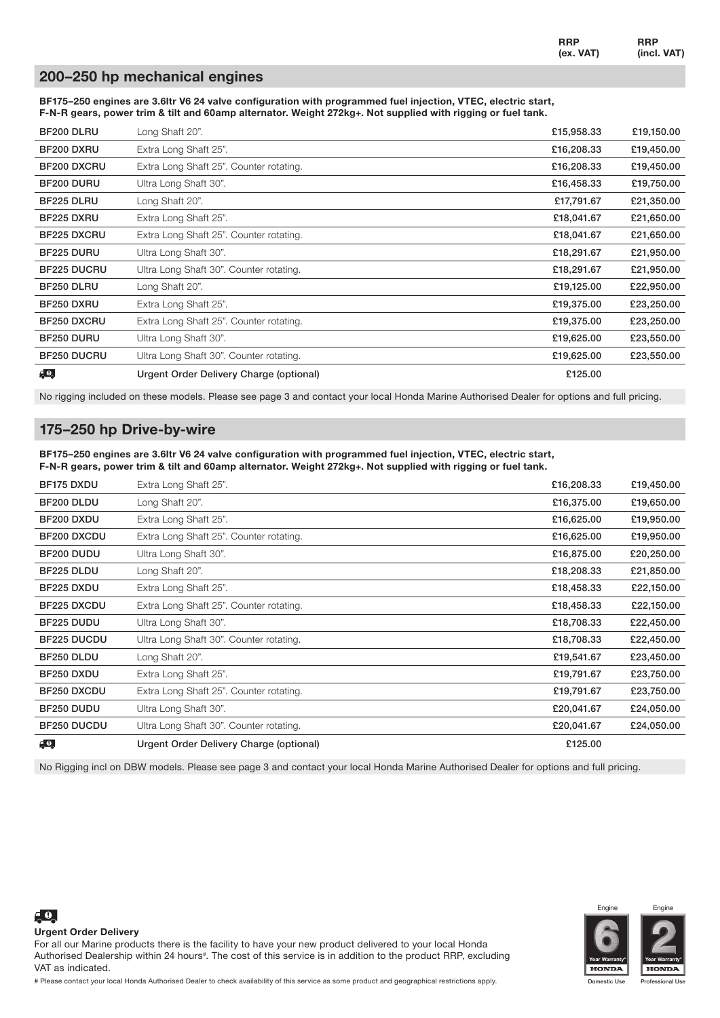RRP (ex. VAT) RRP (incl. VAT)

#### 200–250 hp mechanical engines

BF175–250 engines are 3.6ltr V6 24 valve configuration with programmed fuel injection, VTEC, electric start, F-N-R gears, power trim & tilt and 60amp alternator. Weight 272kg+. Not supplied with rigging or fuel tank.

| BF200 DLRU           | Long Shaft 20".                         | £15,958.33 | £19,150.00 |
|----------------------|-----------------------------------------|------------|------------|
| BF200 DXRU           | Extra Long Shaft 25".                   | £16,208.33 | £19,450.00 |
| BF200 DXCRU          | Extra Long Shaft 25". Counter rotating. | £16,208.33 | £19,450.00 |
| BF200 DURU           | Ultra Long Shaft 30".                   | £16,458.33 | £19,750.00 |
| BF225 DLRU           | Long Shaft 20".                         | £17,791.67 | £21,350.00 |
| BF225 DXRU           | Extra Long Shaft 25".                   | £18,041.67 | £21,650.00 |
| BF225 DXCRU          | Extra Long Shaft 25". Counter rotating. | £18,041.67 | £21,650.00 |
| BF225 DURU           | Ultra Long Shaft 30".                   | £18,291.67 | £21,950.00 |
| <b>BF225 DUCRU</b>   | Ultra Long Shaft 30". Counter rotating. | £18,291.67 | £21,950.00 |
| BF250 DLRU           | Long Shaft 20".                         | £19,125.00 | £22,950.00 |
| BF250 DXRU           | Extra Long Shaft 25".                   | £19,375.00 | £23,250.00 |
| BF250 DXCRU          | Extra Long Shaft 25". Counter rotating. | £19,375.00 | £23,250.00 |
| BF250 DURU           | Ultra Long Shaft 30".                   | £19,625.00 | £23,550.00 |
| <b>BF250 DUCRU</b>   | Ultra Long Shaft 30". Counter rotating. | £19,625.00 | £23,550.00 |
| $\epsilon$ $\bullet$ | Urgent Order Delivery Charge (optional) | £125.00    |            |

No rigging included on these models. Please see page 3 and contact your local Honda Marine Authorised Dealer for options and full pricing.

#### 175–250 hp Drive-by-wire

BF175–250 engines are 3.6ltr V6 24 valve configuration with programmed fuel injection, VTEC, electric start, F-N-R gears, power trim & tilt and 60amp alternator. Weight 272kg+. Not supplied with rigging or fuel tank.

| BF175 DXDU    | Extra Long Shaft 25".                   | £16,208.33 | £19,450.00 |
|---------------|-----------------------------------------|------------|------------|
| BF200 DLDU    | Long Shaft 20".                         | £16,375.00 | £19,650.00 |
| BF200 DXDU    | Extra Long Shaft 25".                   | £16,625.00 | £19,950.00 |
| BF200 DXCDU   | Extra Long Shaft 25". Counter rotating. | £16,625.00 | £19,950.00 |
| BF200 DUDU    | Ultra Long Shaft 30".                   | £16,875.00 | £20,250.00 |
| BF225 DLDU    | Long Shaft 20".                         | £18,208.33 | £21,850.00 |
| BF225 DXDU    | Extra Long Shaft 25".                   | £18,458.33 | £22,150.00 |
| BF225 DXCDU   | Extra Long Shaft 25". Counter rotating. | £18,458.33 | £22,150.00 |
| BF225 DUDU    | Ultra Long Shaft 30".                   | £18,708.33 | £22,450.00 |
| BF225 DUCDU   | Ultra Long Shaft 30". Counter rotating. | £18,708.33 | £22,450.00 |
| BF250 DLDU    | Long Shaft 20".                         | £19,541.67 | £23,450.00 |
| BF250 DXDU    | Extra Long Shaft 25".                   | £19,791.67 | £23,750.00 |
| BF250 DXCDU   | Extra Long Shaft 25". Counter rotating. | £19,791.67 | £23,750.00 |
| BF250 DUDU    | Ultra Long Shaft 30".                   | £20,041.67 | £24,050.00 |
| BF250 DUCDU   | Ultra Long Shaft 30". Counter rotating. | £20,041.67 | £24,050.00 |
| $\epsilon$ 0, | Urgent Order Delivery Charge (optional) | £125.00    |            |

No Rigging incl on DBW models. Please see page 3 and contact your local Honda Marine Authorised Dealer for options and full pricing.



**HONDA** 

Engin

Professional Use



VAT as indicated.

 $\epsilon$ <sup>0</sup>

# Please contact your local Honda Authorised Dealer to check availability of this service as some product and geographical restrictions apply.